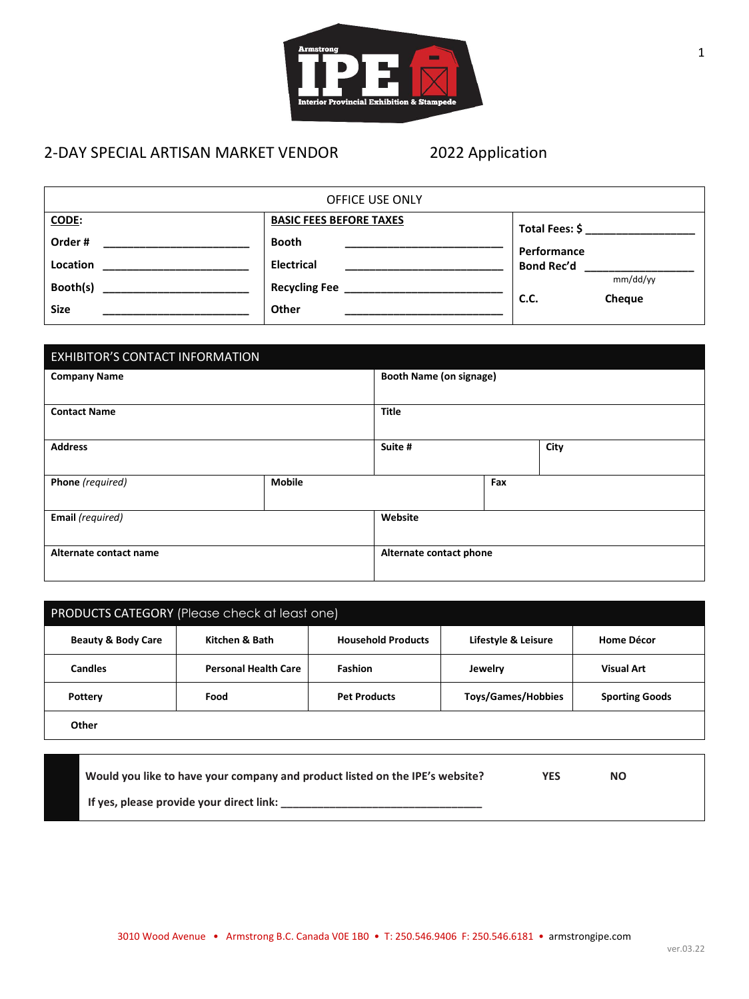

# 2-DAY SPECIAL ARTISAN MARKET VENDOR 2022 Application

| OFFICE USE ONLY |                                |                            |  |
|-----------------|--------------------------------|----------------------------|--|
| CODE:           | <b>BASIC FEES BEFORE TAXES</b> |                            |  |
| Order#          | <b>Booth</b>                   | Performance                |  |
| <b>Location</b> | <b>Electrical</b>              | <b>Bond Rec'd</b>          |  |
| Booth(s)        | <b>Recycling Fee</b>           | mm/dd/yy<br>C.C.<br>Cheque |  |
| <b>Size</b>     | Other                          |                            |  |

| EXHIBITOR'S CONTACT INFORMATION |               |                                |     |  |
|---------------------------------|---------------|--------------------------------|-----|--|
| <b>Company Name</b>             |               | <b>Booth Name (on signage)</b> |     |  |
| <b>Contact Name</b>             |               | <b>Title</b>                   |     |  |
| <b>Address</b>                  |               | Suite #<br>City                |     |  |
| Phone (required)                | <b>Mobile</b> |                                | Fax |  |
| Email (required)                |               | Website                        |     |  |
| Alternate contact name          |               | Alternate contact phone        |     |  |

| PRODUCTS CATEGORY (Please check at least one) |                             |                           |                           |                       |
|-----------------------------------------------|-----------------------------|---------------------------|---------------------------|-----------------------|
| <b>Beauty &amp; Body Care</b>                 | Kitchen & Bath              | <b>Household Products</b> | Lifestyle & Leisure       | Home Décor            |
| <b>Candles</b>                                | <b>Personal Health Care</b> | <b>Fashion</b>            | Jewelry                   | <b>Visual Art</b>     |
| Pottery                                       | Food                        | <b>Pet Products</b>       | <b>Toys/Games/Hobbies</b> | <b>Sporting Goods</b> |
| Other                                         |                             |                           |                           |                       |

| Would you like to have your company and product listed on the IPE's website? | YES | ΝO |  |
|------------------------------------------------------------------------------|-----|----|--|
| If yes, please provide your direct link:                                     |     |    |  |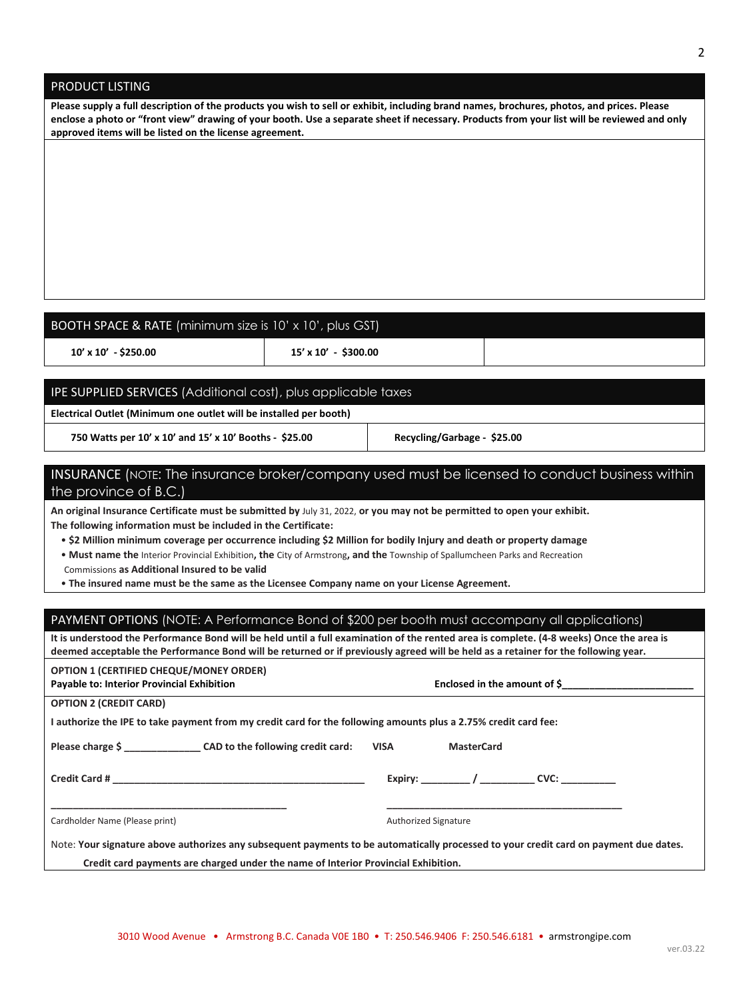**\_\_\_\_\_\_\_\_\_\_\_\_\_\_\_\_\_\_\_\_\_\_\_\_\_\_\_\_\_\_\_\_\_\_\_\_\_\_\_\_\_\_\_ \_\_\_\_\_\_\_\_\_\_\_\_\_\_\_\_\_\_\_\_\_\_\_\_\_\_\_\_\_\_\_\_\_\_\_\_\_\_\_\_\_\_\_** 

### PRODUCT LISTING

**Please supply a full description of the products you wish to sell or exhibit, including brand names, brochures, photos, and prices. Please enclose a photo or "front view" drawing of your booth. Use a separate sheet if necessary. Products from your list will be reviewed and only approved items will be listed on the license agreement.** 

## BOOTH SPACE & RATE (minimum size is 10' x 10', plus GST)

 **10' x 10' - \$250.00 15' x 10' - \$300.00** 

#### IPE SUPPLIED SERVICES (Additional cost), plus applicable taxes

**Electrical Outlet (Minimum one outlet will be installed per booth)**

 **750 Watts per 10' x 10' and 15' x 10' Booths - \$25.00 Recycling/Garbage - \$25.00** 

# INSURANCE (NOTE: The insurance broker/company used must be licensed to conduct business within the province of B.C.)

**An original Insurance Certificate must be submitted by** July 31, 2022, **or you may not be permitted to open your exhibit. The following information must be included in the Certificate:** 

• **\$2 Million minimum coverage per occurrence including \$2 Million for bodily Injury and death or property damage** 

• **Must name the** Interior Provincial Exhibition**, the** City of Armstrong**, and the** Township of Spallumcheen Parks and Recreation

Commissions **as Additional Insured to be valid** 

• **The insured name must be the same as the Licensee Company name on your License Agreement.**

#### PAYMENT OPTIONS (NOTE: A Performance Bond of \$200 per booth must accompany all applications)

**It is understood the Performance Bond will be held until a full examination of the rented area is complete. (4-8 weeks) Once the area is deemed acceptable the Performance Bond will be returned or if previously agreed will be held as a retainer for the following year.**

#### **OPTION 1 (CERTIFIED CHEQUE/MONEY ORDER) Payable to: Interior Provincial Exhibition Enclosed in the amount of \$\_\_\_\_\_\_\_\_\_\_\_\_\_\_\_\_\_\_\_\_\_\_\_\_**

**I authorize the IPE to take payment from my credit card for the following amounts plus a 2.75% credit card fee:** 

| Please charge \$ | CAD to the following credit card: | <b>VISA</b> | <b>MasterCard</b> |
|------------------|-----------------------------------|-------------|-------------------|
|                  |                                   |             |                   |

**OPTION 2 (CREDIT CARD)** 

**Credit Card # \_\_\_\_\_\_\_\_\_\_\_\_\_\_\_\_\_\_\_\_\_\_\_\_\_\_\_\_\_\_\_\_\_\_\_\_\_\_\_\_\_\_\_\_\_\_ Expiry: \_\_\_\_\_\_\_\_\_ / \_\_\_\_\_\_\_\_\_\_ CVC: \_\_\_\_\_\_\_\_\_\_** 

Cardholder Name (Please print) and the control of the control of the Authorized Signature

Note: **Your signature above authorizes any subsequent payments to be automatically processed to your credit card on payment due dates.** 

 **Credit card payments are charged under the name of Interior Provincial Exhibition.**